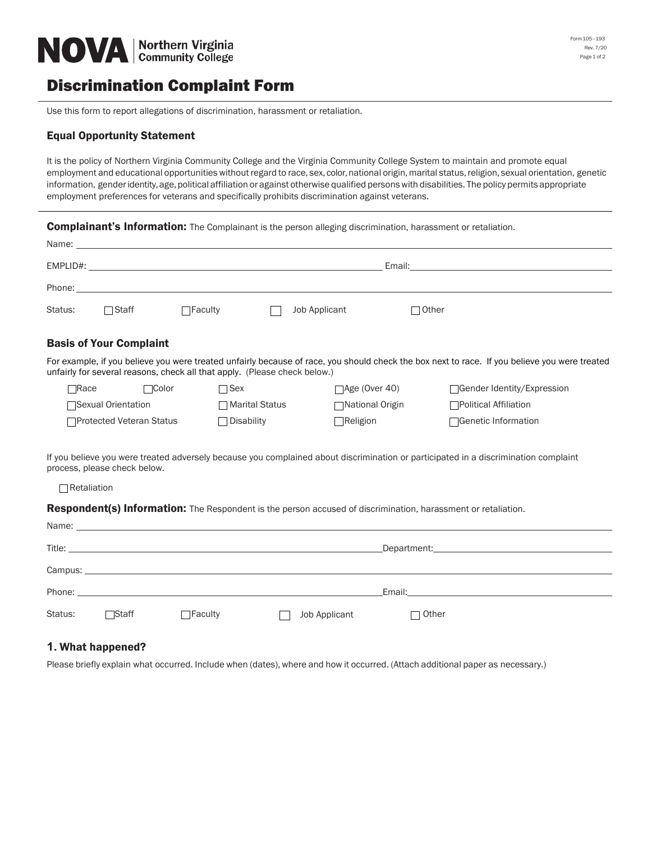

## Discrimination Complaint Form

Use this form to report allegations of discrimination, harassment or retaliation.

## Equal Opportunity Statement

It is the policy of Northern Virginia Community College and the Virginia Community College System to maintain and promote equal employment and educational opportunities without regard to race, sex, color, national origin, marital status, religion, sexual orientation, genetic information, gender identity, age, political affiliation or against otherwise qualified persons with disabilities. The policy permits appropriate employment preferences for veterans and specifically prohibits discrimination against veterans.

**Complainant's Information:** The Complainant is the person alleging discrimination, harassment or retaliation.

|               | Name: _____________                                                                                                                                                                                                                          |                                                                           |                  |                         |              |                                                                                                                                               |  |
|---------------|----------------------------------------------------------------------------------------------------------------------------------------------------------------------------------------------------------------------------------------------|---------------------------------------------------------------------------|------------------|-------------------------|--------------|-----------------------------------------------------------------------------------------------------------------------------------------------|--|
|               | $EMPLID#$ :<br>Email: Email: All and the second second second second second second second second second second second second second second second second second second second second second second second second second second second second |                                                                           |                  |                         |              |                                                                                                                                               |  |
|               |                                                                                                                                                                                                                                              |                                                                           |                  |                         |              |                                                                                                                                               |  |
| Status:       | $\Box$ Staff                                                                                                                                                                                                                                 | $\Box$ Faculty                                                            |                  | Job Applicant           | $\Box$ Other |                                                                                                                                               |  |
|               | <b>Basis of Your Complaint</b>                                                                                                                                                                                                               |                                                                           |                  |                         |              |                                                                                                                                               |  |
|               |                                                                                                                                                                                                                                              | unfairly for several reasons, check all that apply. (Please check below.) |                  |                         |              | For example, if you believe you were treated unfairly because of race, you should check the box next to race. If you believe you were treated |  |
| $\sqcap$ Race | $\Box$ Color                                                                                                                                                                                                                                 | $\Box$ Sex                                                                |                  | $\exists$ Age (Over 40) |              | □ Gender Identity/Expression                                                                                                                  |  |
|               | □Sexual Orientation                                                                                                                                                                                                                          |                                                                           | □ Marital Status | National Origin         |              | □Political Affiliation                                                                                                                        |  |
|               | □Protected Veteran Status                                                                                                                                                                                                                    | $\Box$ Disability                                                         |                  | $\Box$ Religion         |              | □Genetic Information                                                                                                                          |  |

If you believe you were treated adversely because you complained about discrimination or participated in a discrimination complaint process, please check below.

Retaliation

Respondent(s) Information: The Respondent is the person accused of discrimination, harassment or retaliation.

|         |        |                | Email: Email: All and the state of the state of the state of the state of the state of the state of the state of the state of the state of the state of the state of the state of the state of the state of the state of the s |                |
|---------|--------|----------------|--------------------------------------------------------------------------------------------------------------------------------------------------------------------------------------------------------------------------------|----------------|
| Status: | □Staff | $\Box$ Faculty | Job Applicant                                                                                                                                                                                                                  | $\sqcap$ Other |

## **1.** What happened?

Please briefly explain what occurred. Include when (dates), where and how it occurred. (Attach additional paper as necessary.)